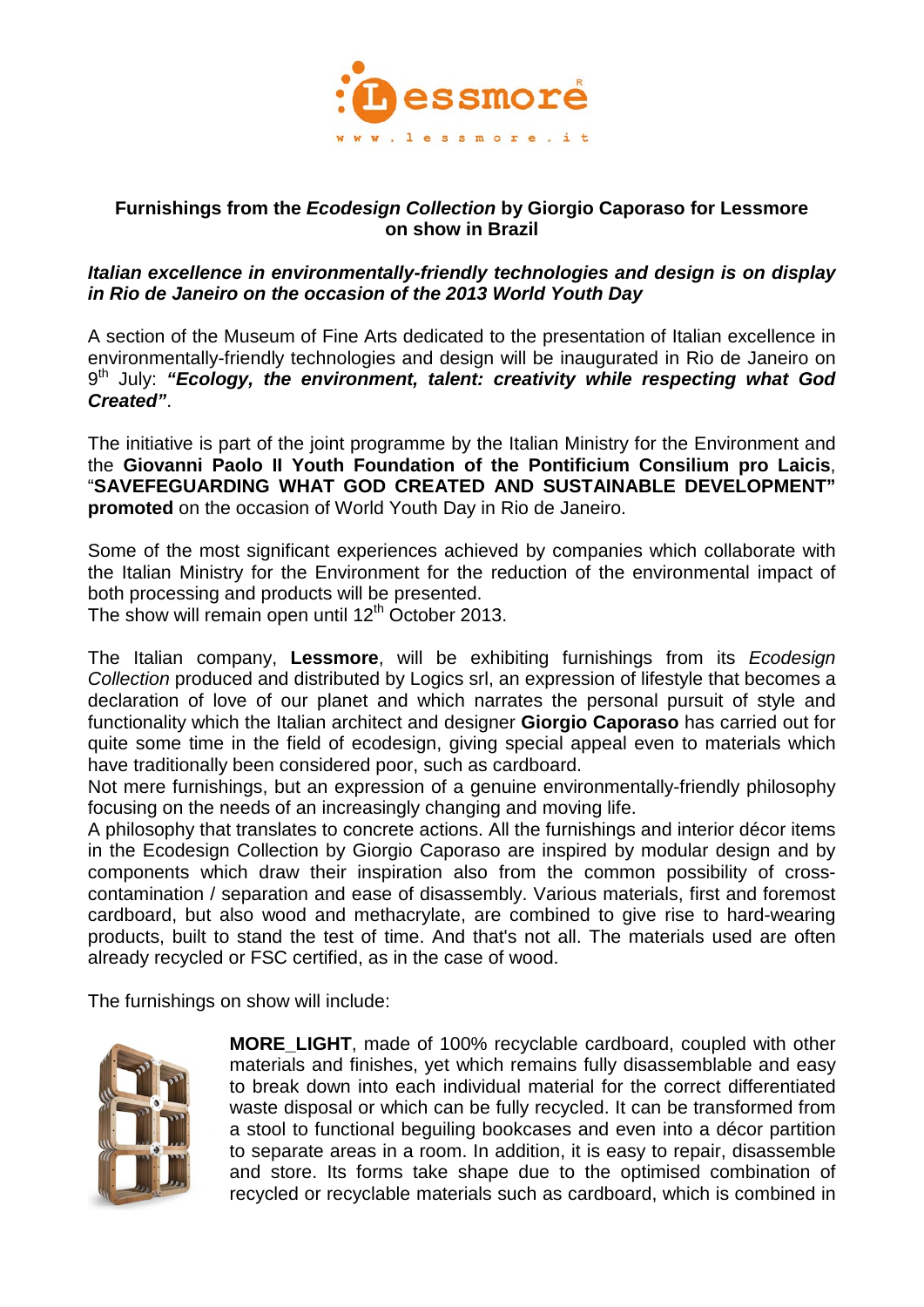

## **Furnishings from the** *Ecodesign Collection* **by Giorgio Caporaso for Lessmore on show in Brazil**

## *Italian excellence in environmentally-friendly technologies and design is on display in Rio de Janeiro on the occasion of the 2013 World Youth Day*

A section of the Museum of Fine Arts dedicated to the presentation of Italian excellence in environmentally-friendly technologies and design will be inaugurated in Rio de Janeiro on 9<sup>th</sup> July: "Ecology, the environment, talent: creativity while respecting what God *Created"*.

The initiative is part of the joint programme by the Italian Ministry for the Environment and the **Giovanni Paolo II Youth Foundation of the Pontificium Consilium pro Laicis**, "**SAVEFEGUARDING WHAT GOD CREATED AND SUSTAINABLE DEVELOPMENT" promoted** on the occasion of World Youth Day in Rio de Janeiro.

Some of the most significant experiences achieved by companies which collaborate with the Italian Ministry for the Environment for the reduction of the environmental impact of both processing and products will be presented.

The show will remain open until  $12<sup>th</sup>$  October 2013.

The Italian company, **Lessmore**, will be exhibiting furnishings from its *Ecodesign Collection* produced and distributed by Logics srl, an expression of lifestyle that becomes a declaration of love of our planet and which narrates the personal pursuit of style and functionality which the Italian architect and designer **Giorgio Caporaso** has carried out for quite some time in the field of ecodesign, giving special appeal even to materials which have traditionally been considered poor, such as cardboard.

Not mere furnishings, but an expression of a genuine environmentally-friendly philosophy focusing on the needs of an increasingly changing and moving life.

A philosophy that translates to concrete actions. All the furnishings and interior décor items in the Ecodesign Collection by Giorgio Caporaso are inspired by modular design and by components which draw their inspiration also from the common possibility of crosscontamination / separation and ease of disassembly. Various materials, first and foremost cardboard, but also wood and methacrylate, are combined to give rise to hard-wearing products, built to stand the test of time. And that's not all. The materials used are often already recycled or FSC certified, as in the case of wood.

The furnishings on show will include:



**MORE\_LIGHT**, made of 100% recyclable cardboard, coupled with other materials and finishes, yet which remains fully disassemblable and easy to break down into each individual material for the correct differentiated waste disposal or which can be fully recycled. It can be transformed from a stool to functional beguiling bookcases and even into a décor partition to separate areas in a room. In addition, it is easy to repair, disassemble and store. Its forms take shape due to the optimised combination of recycled or recyclable materials such as cardboard, which is combined in